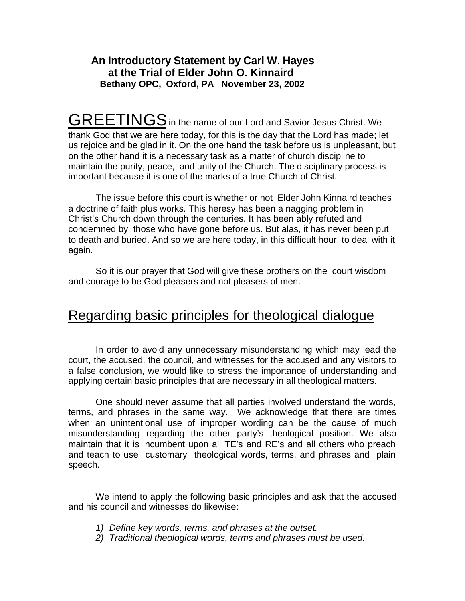### **An Introductory Statement by Carl W. Hayes at the Trial of Elder John O. Kinnaird Bethany OPC, Oxford, PA November 23, 2002**

GREETINGS in the name of our Lord and Savior Jesus Christ. We thank God that we are here today, for this is the day that the Lord has made; let us rejoice and be glad in it. On the one hand the task before us is unpleasant, but on the other hand it is a necessary task as a matter of church discipline to maintain the purity, peace, and unity of the Church. The disciplinary process is important because it is one of the marks of a true Church of Christ.

The issue before this court is whether or not Elder John Kinnaird teaches a doctrine of faith plus works. This heresy has been a nagging problem in Christ's Church down through the centuries. It has been ably refuted and condemned by those who have gone before us. But alas, it has never been put to death and buried. And so we are here today, in this difficult hour, to deal with it again.

So it is our prayer that God will give these brothers on the court wisdom and courage to be God pleasers and not pleasers of men.

# Regarding basic principles for theological dialogue

In order to avoid any unnecessary misunderstanding which may lead the court, the accused, the council, and witnesses for the accused and any visitors to a false conclusion, we would like to stress the importance of understanding and applying certain basic principles that are necessary in all theological matters.

One should never assume that all parties involved understand the words, terms, and phrases in the same way. We acknowledge that there are times when an unintentional use of improper wording can be the cause of much misunderstanding regarding the other party's theological position. We also maintain that it is incumbent upon all TE's and RE's and all others who preach and teach to use customary theological words, terms, and phrases and plain speech.

We intend to apply the following basic principles and ask that the accused and his council and witnesses do likewise:

- *1) Define key words, terms, and phrases at the outset.*
- *2) Traditional theological words, terms and phrases must be used.*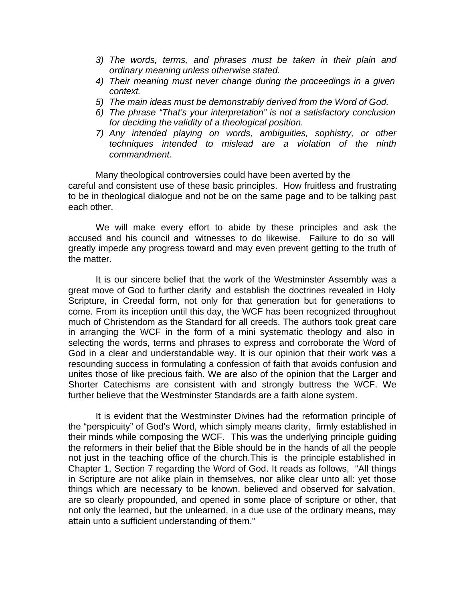- *3) The words, terms, and phrases must be taken in their plain and ordinary meaning unless otherwise stated.*
- *4) Their meaning must never change during the proceedings in a given context.*
- *5) The main ideas must be demonstrably derived from the Word of God.*
- *6) The phrase "That's your interpretation" is not a satisfactory conclusion for deciding the validity of a theological position.*
- *7) Any intended playing on words, ambiguities, sophistry, or other techniques intended to mislead are a violation of the ninth commandment.*

Many theological controversies could have been averted by the careful and consistent use of these basic principles. How fruitless and frustrating to be in theological dialogue and not be on the same page and to be talking past each other.

We will make every effort to abide by these principles and ask the accused and his council and witnesses to do likewise. Failure to do so will greatly impede any progress toward and may even prevent getting to the truth of the matter.

It is our sincere belief that the work of the Westminster Assembly was a great move of God to further clarify and establish the doctrines revealed in Holy Scripture, in Creedal form, not only for that generation but for generations to come. From its inception until this day, the WCF has been recognized throughout much of Christendom as the Standard for all creeds. The authors took great care in arranging the WCF in the form of a mini systematic theology and also in selecting the words, terms and phrases to express and corroborate the Word of God in a clear and understandable way. It is our opinion that their work was a resounding success in formulating a confession of faith that avoids confusion and unites those of like precious faith. We are also of the opinion that the Larger and Shorter Catechisms are consistent with and strongly buttress the WCF. We further believe that the Westminster Standards are a faith alone system.

It is evident that the Westminster Divines had the reformation principle of the "perspicuity" of God's Word, which simply means clarity, firmly established in their minds while composing the WCF. This was the underlying principle guiding the reformers in their belief that the Bible should be in the hands of all the people not just in the teaching office of the church.This is the principle established in Chapter 1, Section 7 regarding the Word of God. It reads as follows, "All things in Scripture are not alike plain in themselves, nor alike clear unto all: yet those things which are necessary to be known, believed and observed for salvation, are so clearly propounded, and opened in some place of scripture or other, that not only the learned, but the unlearned, in a due use of the ordinary means, may attain unto a sufficient understanding of them."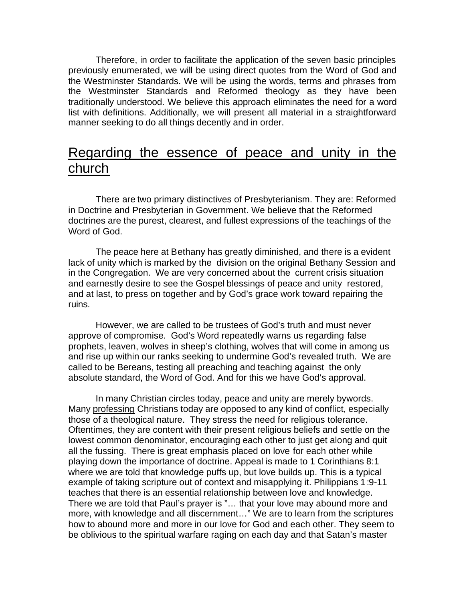Therefore, in order to facilitate the application of the seven basic principles previously enumerated, we will be using direct quotes from the Word of God and the Westminster Standards. We will be using the words, terms and phrases from the Westminster Standards and Reformed theology as they have been traditionally understood. We believe this approach eliminates the need for a word list with definitions. Additionally, we will present all material in a straightforward manner seeking to do all things decently and in order.

### Regarding the essence of peace and unity in the church

There are two primary distinctives of Presbyterianism. They are: Reformed in Doctrine and Presbyterian in Government. We believe that the Reformed doctrines are the purest, clearest, and fullest expressions of the teachings of the Word of God.

The peace here at Bethany has greatly diminished, and there is a evident lack of unity which is marked by the division on the original Bethany Session and in the Congregation. We are very concerned about the current crisis situation and earnestly desire to see the Gospel blessings of peace and unity restored, and at last, to press on together and by God's grace work toward repairing the ruins.

However, we are called to be trustees of God's truth and must never approve of compromise. God's Word repeatedly warns us regarding false prophets, leaven, wolves in sheep's clothing, wolves that will come in among us and rise up within our ranks seeking to undermine God's revealed truth. We are called to be Bereans, testing all preaching and teaching against the only absolute standard, the Word of God. And for this we have God's approval.

In many Christian circles today, peace and unity are merely bywords. Many professing Christians today are opposed to any kind of conflict, especially those of a theological nature. They stress the need for religious tolerance. Oftentimes, they are content with their present religious beliefs and settle on the lowest common denominator, encouraging each other to just get along and quit all the fussing. There is great emphasis placed on love for each other while playing down the importance of doctrine. Appeal is made to 1 Corinthians 8:1 where we are told that knowledge puffs up, but love builds up. This is a typical example of taking scripture out of context and misapplying it. Philippians 1:9-11 teaches that there is an essential relationship between love and knowledge. There we are told that Paul's prayer is "… that your love may abound more and more, with knowledge and all discernment…" We are to learn from the scriptures how to abound more and more in our love for God and each other. They seem to be oblivious to the spiritual warfare raging on each day and that Satan's master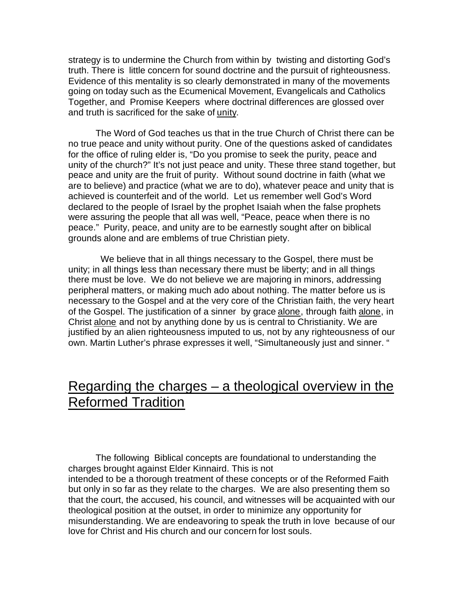strategy is to undermine the Church from within by twisting and distorting God's truth. There is little concern for sound doctrine and the pursuit of righteousness. Evidence of this mentality is so clearly demonstrated in many of the movements going on today such as the Ecumenical Movement, Evangelicals and Catholics Together, and Promise Keepers where doctrinal differences are glossed over and truth is sacrificed for the sake of unity.

The Word of God teaches us that in the true Church of Christ there can be no true peace and unity without purity. One of the questions asked of candidates for the office of ruling elder is, "Do you promise to seek the purity, peace and unity of the church?" It's not just peace and unity. These three stand together, but peace and unity are the fruit of purity. Without sound doctrine in faith (what we are to believe) and practice (what we are to do), whatever peace and unity that is achieved is counterfeit and of the world. Let us remember well God's Word declared to the people of Israel by the prophet Isaiah when the false prophets were assuring the people that all was well, "Peace, peace when there is no peace." Purity, peace, and unity are to be earnestly sought after on biblical grounds alone and are emblems of true Christian piety.

 We believe that in all things necessary to the Gospel, there must be unity; in all things less than necessary there must be liberty; and in all things there must be love. We do not believe we are majoring in minors, addressing peripheral matters, or making much ado about nothing. The matter before us is necessary to the Gospel and at the very core of the Christian faith, the very heart of the Gospel. The justification of a sinner by grace alone, through faith alone, in Christ alone and not by anything done by us is central to Christianity. We are justified by an alien righteousness imputed to us, not by any righteousness of our own. Martin Luther's phrase expresses it well, "Simultaneously just and sinner. "

# Regarding the charges – a theological overview in the Reformed Tradition

The following Biblical concepts are foundational to understanding the charges brought against Elder Kinnaird. This is not intended to be a thorough treatment of these concepts or of the Reformed Faith but only in so far as they relate to the charges. We are also presenting them so that the court, the accused, his council, and witnesses will be acquainted with our theological position at the outset, in order to minimize any opportunity for misunderstanding. We are endeavoring to speak the truth in love because of our love for Christ and His church and our concern for lost souls.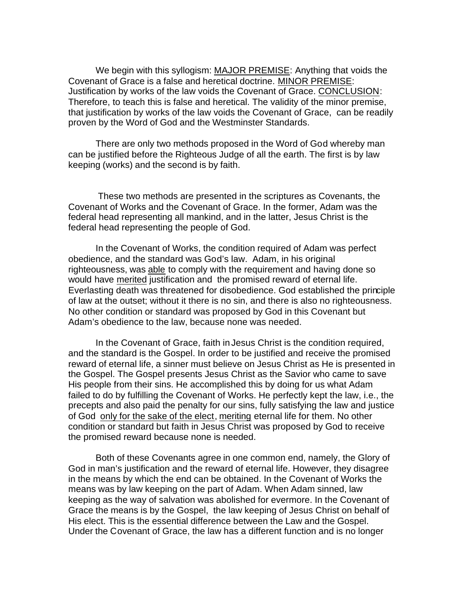We begin with this syllogism: MAJOR PREMISE: Anything that voids the Covenant of Grace is a false and heretical doctrine. MINOR PREMISE: Justification by works of the law voids the Covenant of Grace. CONCLUSION: Therefore, to teach this is false and heretical. The validity of the minor premise, that justification by works of the law voids the Covenant of Grace, can be readily proven by the Word of God and the Westminster Standards.

There are only two methods proposed in the Word of God whereby man can be justified before the Righteous Judge of all the earth. The first is by law keeping (works) and the second is by faith.

 These two methods are presented in the scriptures as Covenants, the Covenant of Works and the Covenant of Grace. In the former, Adam was the federal head representing all mankind, and in the latter, Jesus Christ is the federal head representing the people of God.

In the Covenant of Works, the condition required of Adam was perfect obedience, and the standard was God's law. Adam, in his original righteousness, was able to comply with the requirement and having done so would have merited justification and the promised reward of eternal life. Everlasting death was threatened for disobedience. God established the principle of law at the outset; without it there is no sin, and there is also no righteousness. No other condition or standard was proposed by God in this Covenant but Adam's obedience to the law, because none was needed.

In the Covenant of Grace, faith in Jesus Christ is the condition required, and the standard is the Gospel. In order to be justified and receive the promised reward of eternal life, a sinner must believe on Jesus Christ as He is presented in the Gospel. The Gospel presents Jesus Christ as the Savior who came to save His people from their sins. He accomplished this by doing for us what Adam failed to do by fulfilling the Covenant of Works. He perfectly kept the law, i.e., the precepts and also paid the penalty for our sins, fully satisfying the law and justice of God only for the sake of the elect, meriting eternal life for them. No other condition or standard but faith in Jesus Christ was proposed by God to receive the promised reward because none is needed.

Both of these Covenants agree in one common end, namely, the Glory of God in man's justification and the reward of eternal life. However, they disagree in the means by which the end can be obtained. In the Covenant of Works the means was by law keeping on the part of Adam. When Adam sinned, law keeping as the way of salvation was abolished for evermore. In the Covenant of Grace the means is by the Gospel, the law keeping of Jesus Christ on behalf of His elect. This is the essential difference between the Law and the Gospel. Under the Covenant of Grace, the law has a different function and is no longer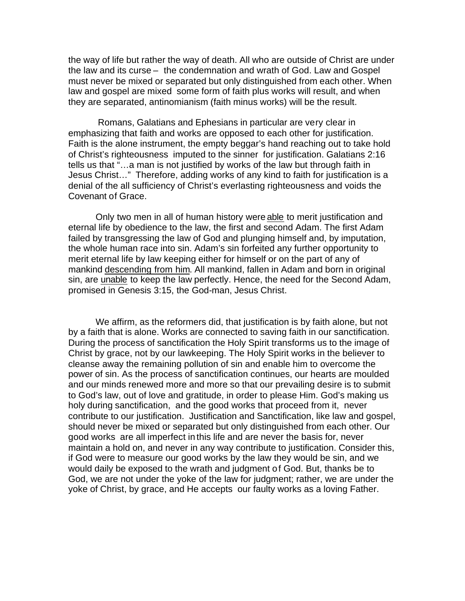the way of life but rather the way of death. All who are outside of Christ are under the law and its curse – the condemnation and wrath of God. Law and Gospel must never be mixed or separated but only distinguished from each other. When law and gospel are mixed some form of faith plus works will result, and when they are separated, antinomianism (faith minus works) will be the result.

 Romans, Galatians and Ephesians in particular are very clear in emphasizing that faith and works are opposed to each other for justification. Faith is the alone instrument, the empty beggar's hand reaching out to take hold of Christ's righteousness imputed to the sinner for justification. Galatians 2:16 tells us that "…a man is not justified by works of the law but through faith in Jesus Christ…" Therefore, adding works of any kind to faith for justification is a denial of the all sufficiency of Christ's everlasting righteousness and voids the Covenant of Grace.

Only two men in all of human history were able to merit justification and eternal life by obedience to the law, the first and second Adam. The first Adam failed by transgressing the law of God and plunging himself and, by imputation, the whole human race into sin. Adam's sin forfeited any further opportunity to merit eternal life by law keeping either for himself or on the part of any of mankind descending from him. All mankind, fallen in Adam and born in original sin, are unable to keep the law perfectly. Hence, the need for the Second Adam, promised in Genesis 3:15, the God-man, Jesus Christ.

We affirm, as the reformers did, that justification is by faith alone, but not by a faith that is alone. Works are connected to saving faith in our sanctification. During the process of sanctification the Holy Spirit transforms us to the image of Christ by grace, not by our lawkeeping. The Holy Spirit works in the believer to cleanse away the remaining pollution of sin and enable him to overcome the power of sin. As the process of sanctification continues, our hearts are moulded and our minds renewed more and more so that our prevailing desire is to submit to God's law, out of love and gratitude, in order to please Him. God's making us holy during sanctification, and the good works that proceed from it, never contribute to our justification. Justification and Sanctification, like law and gospel, should never be mixed or separated but only distinguished from each other. Our good works are all imperfect in this life and are never the basis for, never maintain a hold on, and never in any way contribute to justification. Consider this, if God were to measure our good works by the law they would be sin, and we would daily be exposed to the wrath and judgment of God. But, thanks be to God, we are not under the yoke of the law for judgment; rather, we are under the yoke of Christ, by grace, and He accepts our faulty works as a loving Father.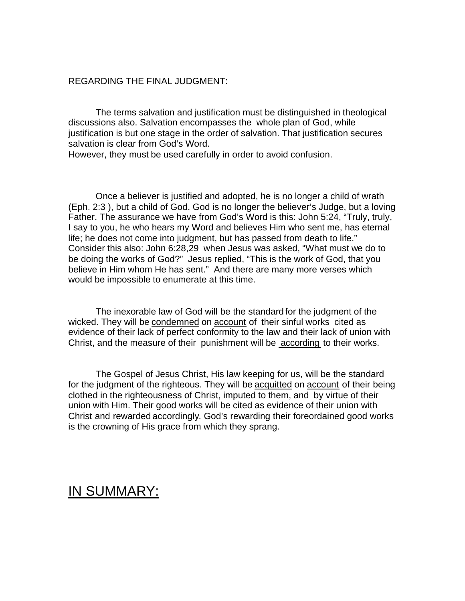### REGARDING THE FINAL JUDGMENT:

The terms salvation and justification must be distinguished in theological discussions also. Salvation encompasses the whole plan of God, while justification is but one stage in the order of salvation. That justification secures salvation is clear from God's Word.

However, they must be used carefully in order to avoid confusion.

Once a believer is justified and adopted, he is no longer a child of wrath (Eph. 2:3 ), but a child of God. God is no longer the believer's Judge, but a loving Father. The assurance we have from God's Word is this: John 5:24, "Truly, truly, I say to you, he who hears my Word and believes Him who sent me, has eternal life; he does not come into judgment, but has passed from death to life." Consider this also: John 6:28,29 when Jesus was asked, "What must we do to be doing the works of God?" Jesus replied, "This is the work of God, that you believe in Him whom He has sent." And there are many more verses which would be impossible to enumerate at this time.

The inexorable law of God will be the standard for the judgment of the wicked. They will be condemned on account of their sinful works cited as evidence of their lack of perfect conformity to the law and their lack of union with Christ, and the measure of their punishment will be according to their works.

The Gospel of Jesus Christ, His law keeping for us, will be the standard for the judgment of the righteous. They will be acquitted on account of their being clothed in the righteousness of Christ, imputed to them, and by virtue of their union with Him. Their good works will be cited as evidence of their union with Christ and rewarded accordingly. God's rewarding their foreordained good works is the crowning of His grace from which they sprang.

# IN SUMMARY: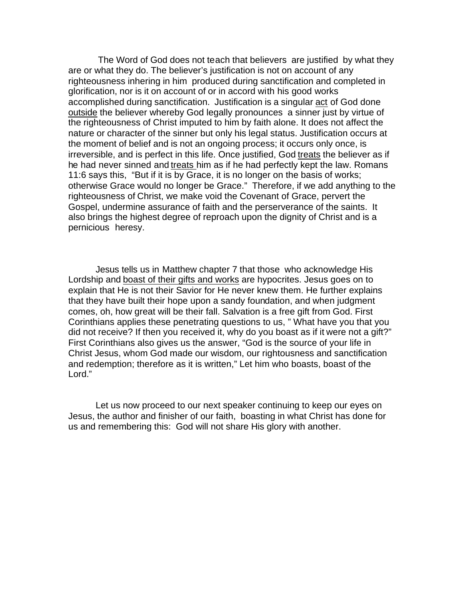The Word of God does not teach that believers are justified by what they are or what they do. The believer's justification is not on account of any righteousness inhering in him produced during sanctification and completed in glorification, nor is it on account of or in accord with his good works accomplished during sanctification. Justification is a singular act of God done outside the believer whereby God legally pronounces a sinner just by virtue of the righteousness of Christ imputed to him by faith alone. It does not affect the nature or character of the sinner but only his legal status. Justification occurs at the moment of belief and is not an ongoing process; it occurs only once, is irreversible, and is perfect in this life. Once justified, God treats the believer as if he had never sinned and treats him as if he had perfectly kept the law. Romans 11:6 says this, "But if it is by Grace, it is no longer on the basis of works; otherwise Grace would no longer be Grace." Therefore, if we add anything to the righteousness of Christ, we make void the Covenant of Grace, pervert the Gospel, undermine assurance of faith and the perserverance of the saints. It also brings the highest degree of reproach upon the dignity of Christ and is a pernicious heresy.

Jesus tells us in Matthew chapter 7 that those who acknowledge His Lordship and boast of their gifts and works are hypocrites. Jesus goes on to explain that He is not their Savior for He never knew them. He further explains that they have built their hope upon a sandy foundation, and when judgment comes, oh, how great will be their fall. Salvation is a free gift from God. First Corinthians applies these penetrating questions to us, " What have you that you did not receive? If then you received it, why do you boast as if it were not a gift?" First Corinthians also gives us the answer, "God is the source of your life in Christ Jesus, whom God made our wisdom, our rightousness and sanctification and redemption; therefore as it is written," Let him who boasts, boast of the Lord."

Let us now proceed to our next speaker continuing to keep our eyes on Jesus, the author and finisher of our faith, boasting in what Christ has done for us and remembering this: God will not share His glory with another.